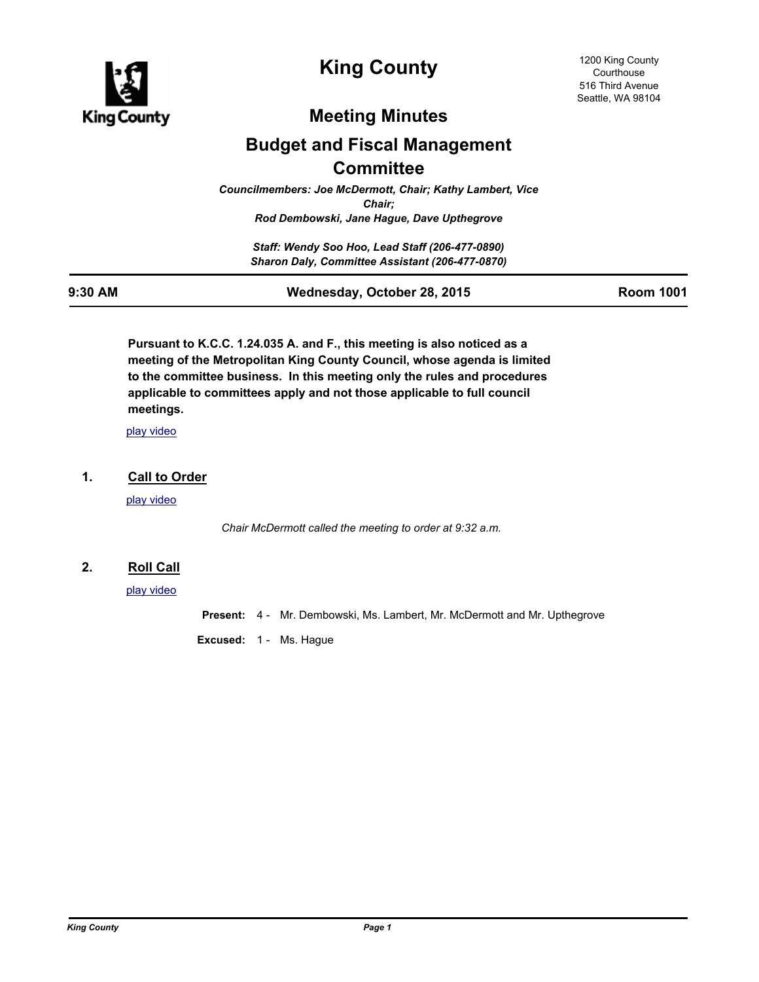

# **King County**

# **Meeting Minutes**

# **Budget and Fiscal Management Committee**

*Councilmembers: Joe McDermott, Chair; Kathy Lambert, Vice Chair; Rod Dembowski, Jane Hague, Dave Upthegrove*

*Staff: Wendy Soo Hoo, Lead Staff (206-477-0890) Sharon Daly, Committee Assistant (206-477-0870)*

| 9:30 | ΑМ |
|------|----|
|------|----|

**9:30 AM Wednesday, October 28, 2015 Room 1001**

**Pursuant to K.C.C. 1.24.035 A. and F., this meeting is also noticed as a meeting of the Metropolitan King County Council, whose agenda is limited to the committee business. In this meeting only the rules and procedures applicable to committees apply and not those applicable to full council meetings.**

[play video](http://mkcclegisearch.kingcounty.gov/medialinkgenerator/index.aspx?meid=5505&hsid=292375)

# **1. Call to Order**

[play video](http://mkcclegisearch.kingcounty.gov/medialinkgenerator/index.aspx?meid=5505&hsid=292200)

*Chair McDermott called the meeting to order at 9:32 a.m.*

# **2. Roll Call**

[play video](http://mkcclegisearch.kingcounty.gov/medialinkgenerator/index.aspx?meid=5505&hsid=292376)

**Present:** 4 - Mr. Dembowski, Ms. Lambert, Mr. McDermott and Mr. Upthegrove

**Excused:** 1 - Ms. Hague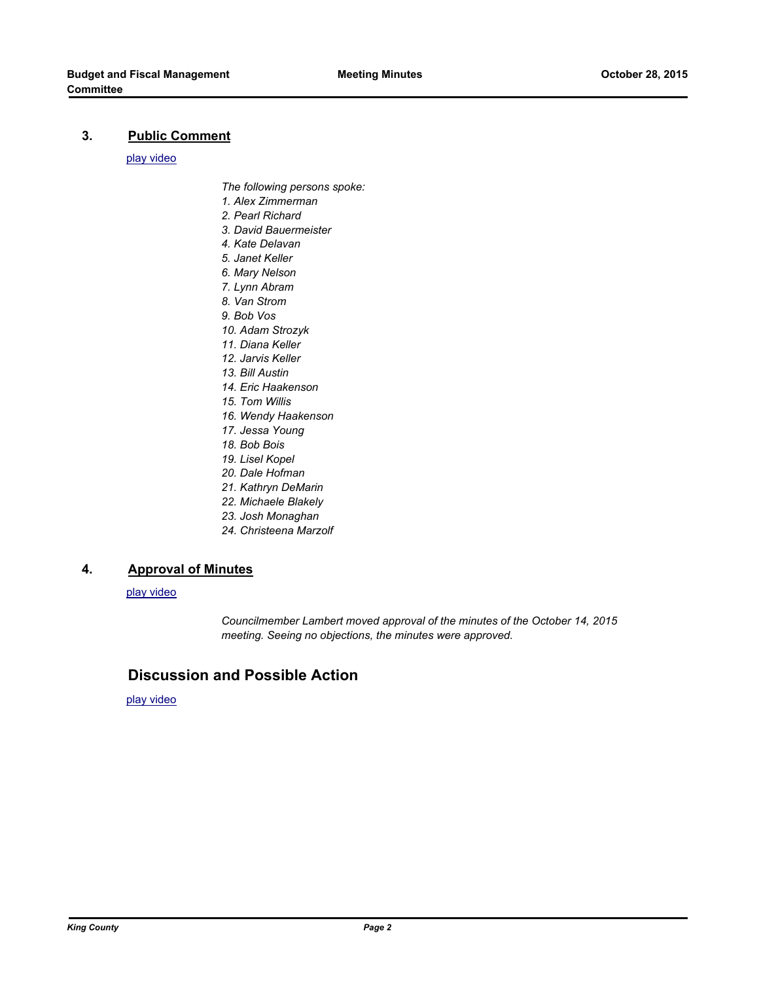## **3. Public Comment**

## [play video](http://mkcclegisearch.kingcounty.gov/medialinkgenerator/index.aspx?meid=5505&hsid=292202)

- *The following persons spoke:*
- *1. Alex Zimmerman*
- *2. Pearl Richard*
- *3. David Bauermeister*
- *4. Kate Delavan*
- *5. Janet Keller*
- *6. Mary Nelson*
- *7. Lynn Abram*
- *8. Van Strom*
- *9. Bob Vos*
- *10. Adam Strozyk*
- *11. Diana Keller*
- *12. Jarvis Keller*
- *13. Bill Austin*
- *14. Eric Haakenson*
- *15. Tom Willis*
- *16. Wendy Haakenson*
- *17. Jessa Young*
- *18. Bob Bois*
- *19. Lisel Kopel*
- *20. Dale Hofman*
- *21. Kathryn DeMarin*
- *22. Michaele Blakely*
- *23. Josh Monaghan*
- *24. Christeena Marzolf*

## **4. Approval of Minutes**

## [play video](http://mkcclegisearch.kingcounty.gov/medialinkgenerator/index.aspx?meid=5505&hsid=292227)

*Councilmember Lambert moved approval of the minutes of the October 14, 2015 meeting. Seeing no objections, the minutes were approved.*

# **Discussion and Possible Action**

[play video](http://mkcclegisearch.kingcounty.gov/medialinkgenerator/index.aspx?meid=5505&hsid=292204)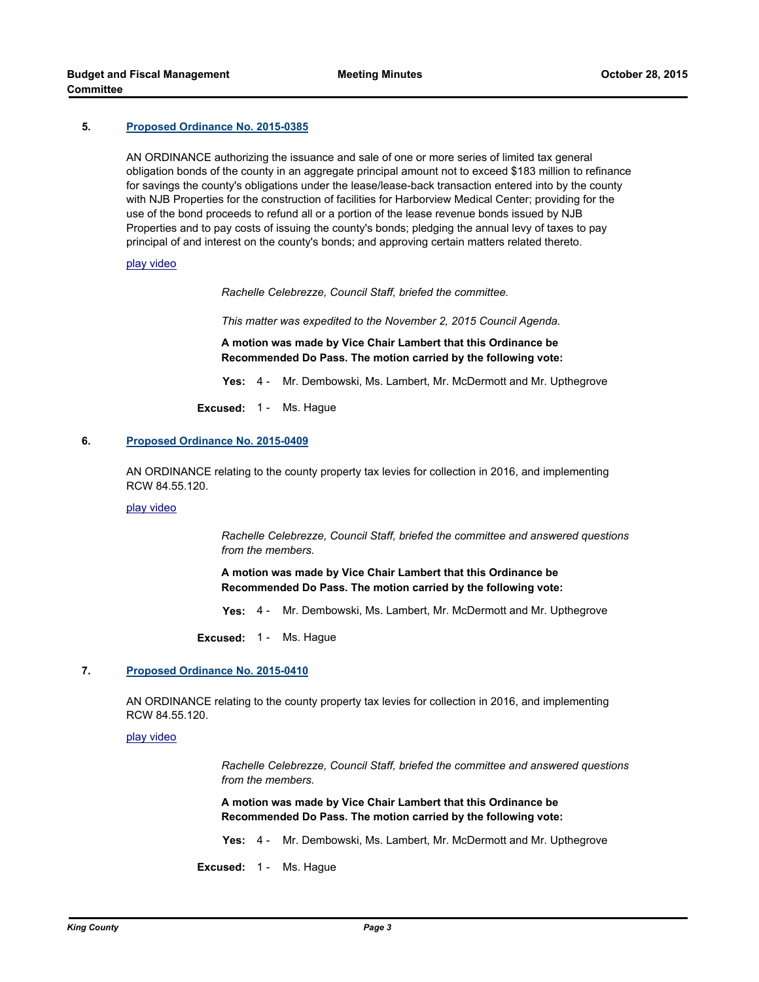AN ORDINANCE authorizing the issuance and sale of one or more series of limited tax general obligation bonds of the county in an aggregate principal amount not to exceed \$183 million to refinance for savings the county's obligations under the lease/lease-back transaction entered into by the county with NJB Properties for the construction of facilities for Harborview Medical Center; providing for the use of the bond proceeds to refund all or a portion of the lease revenue bonds issued by NJB Properties and to pay costs of issuing the county's bonds; pledging the annual levy of taxes to pay principal of and interest on the county's bonds; and approving certain matters related thereto.

## [play video](http://mkcclegisearch.kingcounty.gov/medialinkgenerator/index.aspx?meid=5505&hsid=292205)

*Rachelle Celebrezze, Council Staff, briefed the committee.*

*This matter was expedited to the November 2, 2015 Council Agenda.*

**A motion was made by Vice Chair Lambert that this Ordinance be Recommended Do Pass. The motion carried by the following vote:**

**Yes:** 4 - Mr. Dembowski, Ms. Lambert, Mr. McDermott and Mr. Upthegrove

**Excused:** 1 - Ms. Hague

## **6. [Proposed Ordinance No. 2015-0409](http://kingcounty.legistar.com/gateway.aspx?m=l&id=/matter.aspx?key=16481)**

AN ORDINANCE relating to the county property tax levies for collection in 2016, and implementing RCW 84.55.120.

## [play video](http://mkcclegisearch.kingcounty.gov/medialinkgenerator/index.aspx?meid=5505&hsid=292206)

*Rachelle Celebrezze, Council Staff, briefed the committee and answered questions from the members.*

**A motion was made by Vice Chair Lambert that this Ordinance be Recommended Do Pass. The motion carried by the following vote:**

**Yes:** 4 - Mr. Dembowski, Ms. Lambert, Mr. McDermott and Mr. Upthegrove

**Excused:** 1 - Ms. Hague

## **7. [Proposed Ordinance No. 2015-0410](http://kingcounty.legistar.com/gateway.aspx?m=l&id=/matter.aspx?key=16482)**

AN ORDINANCE relating to the county property tax levies for collection in 2016, and implementing RCW 84.55.120.

[play video](http://mkcclegisearch.kingcounty.gov/medialinkgenerator/index.aspx?meid=5505&hsid=292207)

*Rachelle Celebrezze, Council Staff, briefed the committee and answered questions from the members.*

**A motion was made by Vice Chair Lambert that this Ordinance be Recommended Do Pass. The motion carried by the following vote:**

**Yes:** 4 - Mr. Dembowski, Ms. Lambert, Mr. McDermott and Mr. Upthegrove

**Excused:** 1 - Ms. Hague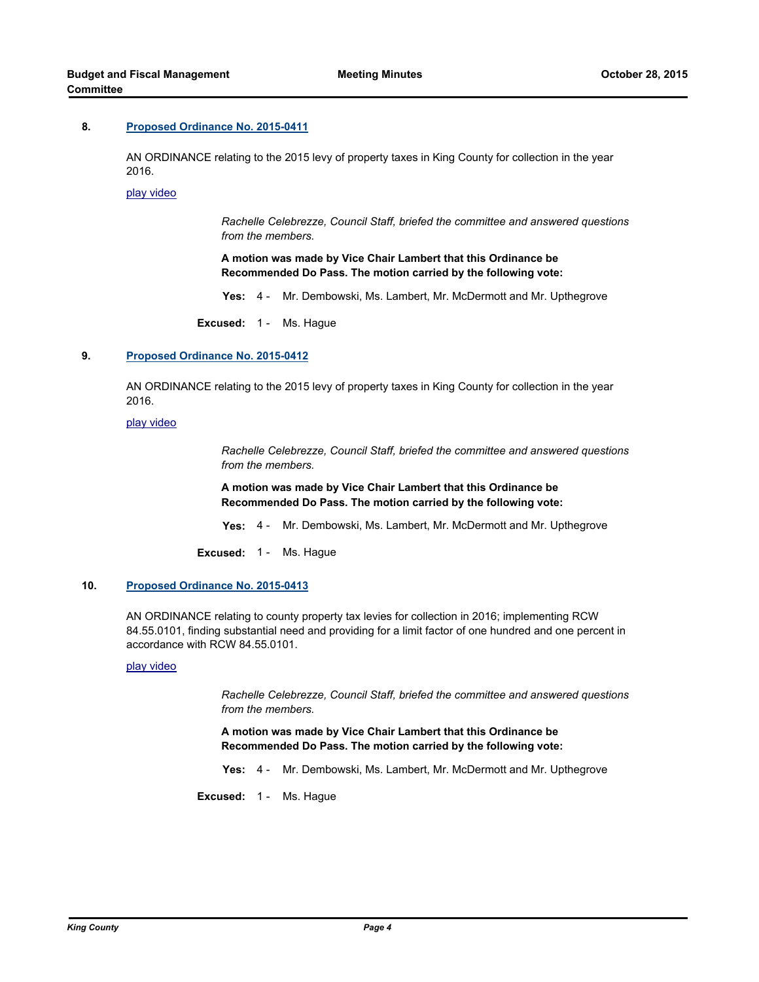AN ORDINANCE relating to the 2015 levy of property taxes in King County for collection in the year 2016.

[play video](http://mkcclegisearch.kingcounty.gov/medialinkgenerator/index.aspx?meid=5505&hsid=292208)

*Rachelle Celebrezze, Council Staff, briefed the committee and answered questions from the members.*

**A motion was made by Vice Chair Lambert that this Ordinance be Recommended Do Pass. The motion carried by the following vote:**

**Yes:** 4 - Mr. Dembowski, Ms. Lambert, Mr. McDermott and Mr. Upthegrove

**Excused:** 1 - Ms. Hague

## **9. [Proposed Ordinance No. 2015-0412](http://kingcounty.legistar.com/gateway.aspx?m=l&id=/matter.aspx?key=16484)**

AN ORDINANCE relating to the 2015 levy of property taxes in King County for collection in the year 2016.

## [play video](http://mkcclegisearch.kingcounty.gov/medialinkgenerator/index.aspx?meid=5505&hsid=292230)

*Rachelle Celebrezze, Council Staff, briefed the committee and answered questions from the members.*

**A motion was made by Vice Chair Lambert that this Ordinance be Recommended Do Pass. The motion carried by the following vote:**

**Yes:** 4 - Mr. Dembowski, Ms. Lambert, Mr. McDermott and Mr. Upthegrove

**Excused:** 1 - Ms. Hague

## **10. [Proposed Ordinance No. 2015-0413](http://kingcounty.legistar.com/gateway.aspx?m=l&id=/matter.aspx?key=16485)**

AN ORDINANCE relating to county property tax levies for collection in 2016; implementing RCW 84.55.0101, finding substantial need and providing for a limit factor of one hundred and one percent in accordance with RCW 84.55.0101.

## [play video](http://mkcclegisearch.kingcounty.gov/medialinkgenerator/index.aspx?meid=5505&hsid=292231)

*Rachelle Celebrezze, Council Staff, briefed the committee and answered questions from the members.*

**A motion was made by Vice Chair Lambert that this Ordinance be Recommended Do Pass. The motion carried by the following vote:**

**Yes:** 4 - Mr. Dembowski, Ms. Lambert, Mr. McDermott and Mr. Upthegrove

**Excused:** 1 - Ms. Hague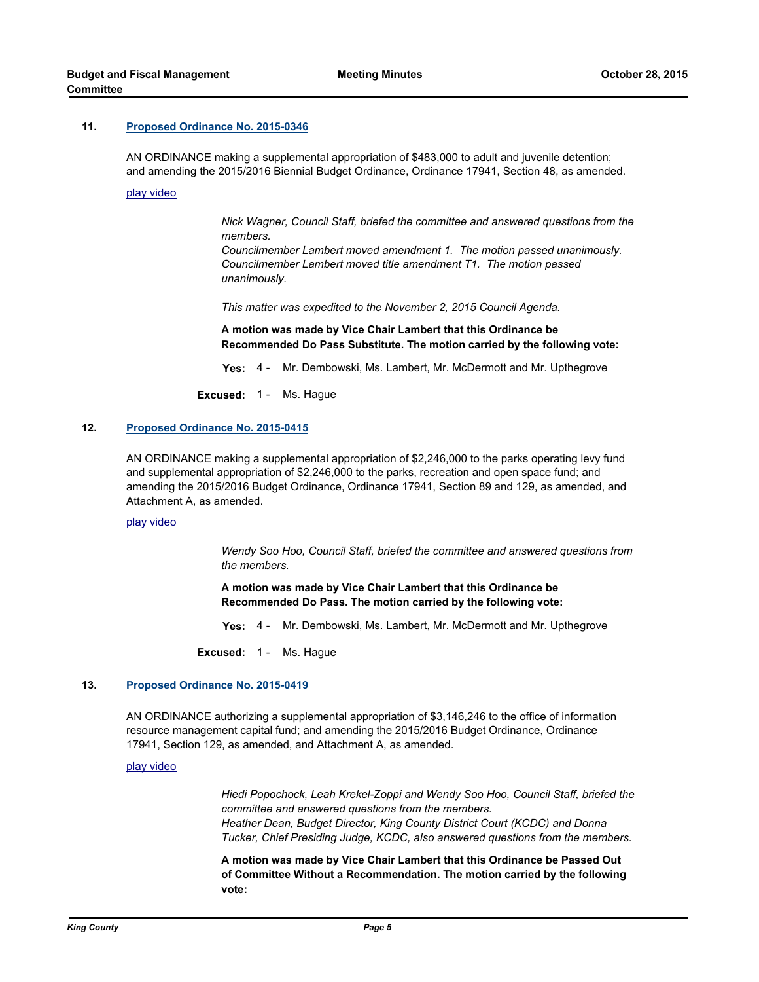AN ORDINANCE making a supplemental appropriation of \$483,000 to adult and juvenile detention; and amending the 2015/2016 Biennial Budget Ordinance, Ordinance 17941, Section 48, as amended.

[play video](http://mkcclegisearch.kingcounty.gov/medialinkgenerator/index.aspx?meid=5505&hsid=292232)

*Nick Wagner, Council Staff, briefed the committee and answered questions from the members. Councilmember Lambert moved amendment 1. The motion passed unanimously.* 

*Councilmember Lambert moved title amendment T1. The motion passed unanimously.*

*This matter was expedited to the November 2, 2015 Council Agenda.*

**A motion was made by Vice Chair Lambert that this Ordinance be Recommended Do Pass Substitute. The motion carried by the following vote:**

**Yes:** 4 - Mr. Dembowski, Ms. Lambert, Mr. McDermott and Mr. Upthegrove

**Excused:** 1 - Ms. Hague

## **12. [Proposed Ordinance No. 2015-0415](http://kingcounty.legistar.com/gateway.aspx?m=l&id=/matter.aspx?key=16487)**

AN ORDINANCE making a supplemental appropriation of \$2,246,000 to the parks operating levy fund and supplemental appropriation of \$2,246,000 to the parks, recreation and open space fund; and amending the 2015/2016 Budget Ordinance, Ordinance 17941, Section 89 and 129, as amended, and Attachment A, as amended.

[play video](http://mkcclegisearch.kingcounty.gov/medialinkgenerator/index.aspx?meid=5505&hsid=292233)

*Wendy Soo Hoo, Council Staff, briefed the committee and answered questions from the members.*

**A motion was made by Vice Chair Lambert that this Ordinance be Recommended Do Pass. The motion carried by the following vote:**

**Yes:** 4 - Mr. Dembowski, Ms. Lambert, Mr. McDermott and Mr. Upthegrove

**Excused:** 1 - Ms. Hague

## **13. [Proposed Ordinance No. 2015-0419](http://kingcounty.legistar.com/gateway.aspx?m=l&id=/matter.aspx?key=16491)**

AN ORDINANCE authorizing a supplemental appropriation of \$3,146,246 to the office of information resource management capital fund; and amending the 2015/2016 Budget Ordinance, Ordinance 17941, Section 129, as amended, and Attachment A, as amended.

## [play video](http://mkcclegisearch.kingcounty.gov/medialinkgenerator/index.aspx?meid=5505&hsid=292257)

*Hiedi Popochock, Leah Krekel-Zoppi and Wendy Soo Hoo, Council Staff, briefed the committee and answered questions from the members. Heather Dean, Budget Director, King County District Court (KCDC) and Donna Tucker, Chief Presiding Judge, KCDC, also answered questions from the members.*

**A motion was made by Vice Chair Lambert that this Ordinance be Passed Out of Committee Without a Recommendation. The motion carried by the following vote:**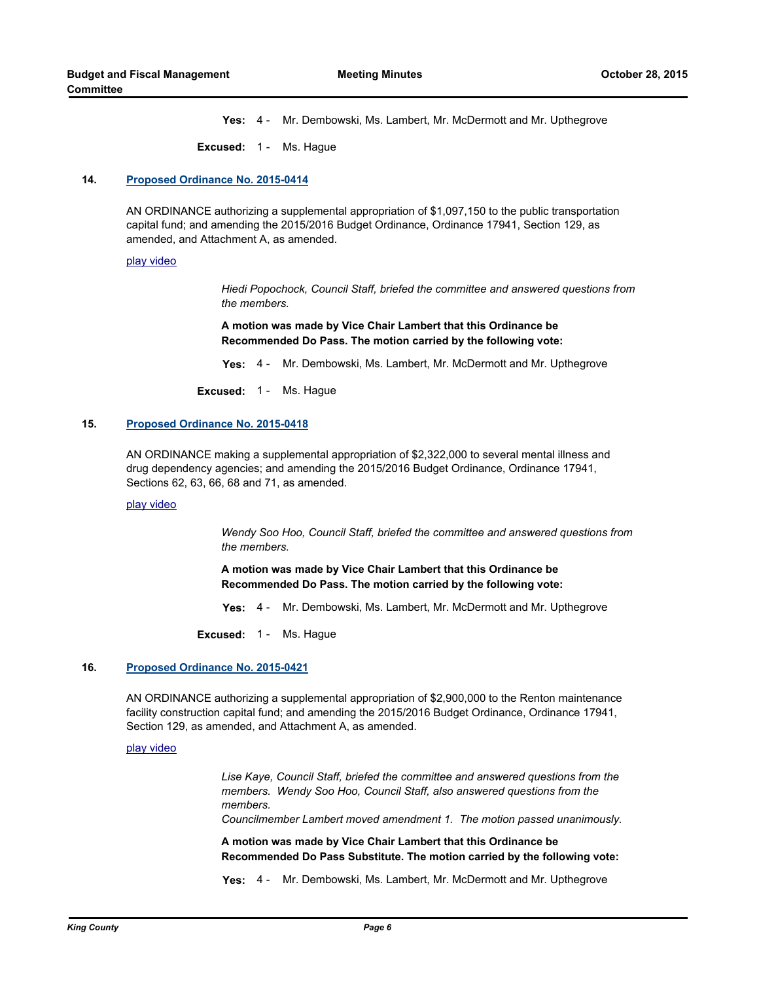**Yes:** 4 - Mr. Dembowski, Ms. Lambert, Mr. McDermott and Mr. Upthegrove

**Excused:** 1 - Ms. Hague

## **14. [Proposed Ordinance No. 2015-0414](http://kingcounty.legistar.com/gateway.aspx?m=l&id=/matter.aspx?key=16486)**

AN ORDINANCE authorizing a supplemental appropriation of \$1,097,150 to the public transportation capital fund; and amending the 2015/2016 Budget Ordinance, Ordinance 17941, Section 129, as amended, and Attachment A, as amended.

## [play video](http://mkcclegisearch.kingcounty.gov/medialinkgenerator/index.aspx?meid=5505&hsid=292258)

*Hiedi Popochock, Council Staff, briefed the committee and answered questions from the members.*

**A motion was made by Vice Chair Lambert that this Ordinance be Recommended Do Pass. The motion carried by the following vote:**

**Yes:** 4 - Mr. Dembowski, Ms. Lambert, Mr. McDermott and Mr. Upthegrove

**Excused:** 1 - Ms. Hague

## **15. [Proposed Ordinance No. 2015-0418](http://kingcounty.legistar.com/gateway.aspx?m=l&id=/matter.aspx?key=16490)**

AN ORDINANCE making a supplemental appropriation of \$2,322,000 to several mental illness and drug dependency agencies; and amending the 2015/2016 Budget Ordinance, Ordinance 17941, Sections 62, 63, 66, 68 and 71, as amended.

## [play video](http://mkcclegisearch.kingcounty.gov/medialinkgenerator/index.aspx?meid=5505&hsid=292259)

*Wendy Soo Hoo, Council Staff, briefed the committee and answered questions from the members.*

**A motion was made by Vice Chair Lambert that this Ordinance be Recommended Do Pass. The motion carried by the following vote:**

**Yes:** 4 - Mr. Dembowski, Ms. Lambert, Mr. McDermott and Mr. Upthegrove

**Excused:** 1 - Ms. Hague

## **16. [Proposed Ordinance No. 2015-0421](http://kingcounty.legistar.com/gateway.aspx?m=l&id=/matter.aspx?key=16493)**

AN ORDINANCE authorizing a supplemental appropriation of \$2,900,000 to the Renton maintenance facility construction capital fund; and amending the 2015/2016 Budget Ordinance, Ordinance 17941, Section 129, as amended, and Attachment A, as amended.

[play video](http://mkcclegisearch.kingcounty.gov/medialinkgenerator/index.aspx?meid=5505&hsid=292260)

*Lise Kaye, Council Staff, briefed the committee and answered questions from the members. Wendy Soo Hoo, Council Staff, also answered questions from the members.*

*Councilmember Lambert moved amendment 1. The motion passed unanimously.*

**A motion was made by Vice Chair Lambert that this Ordinance be Recommended Do Pass Substitute. The motion carried by the following vote:**

**Yes:** 4 - Mr. Dembowski, Ms. Lambert, Mr. McDermott and Mr. Upthegrove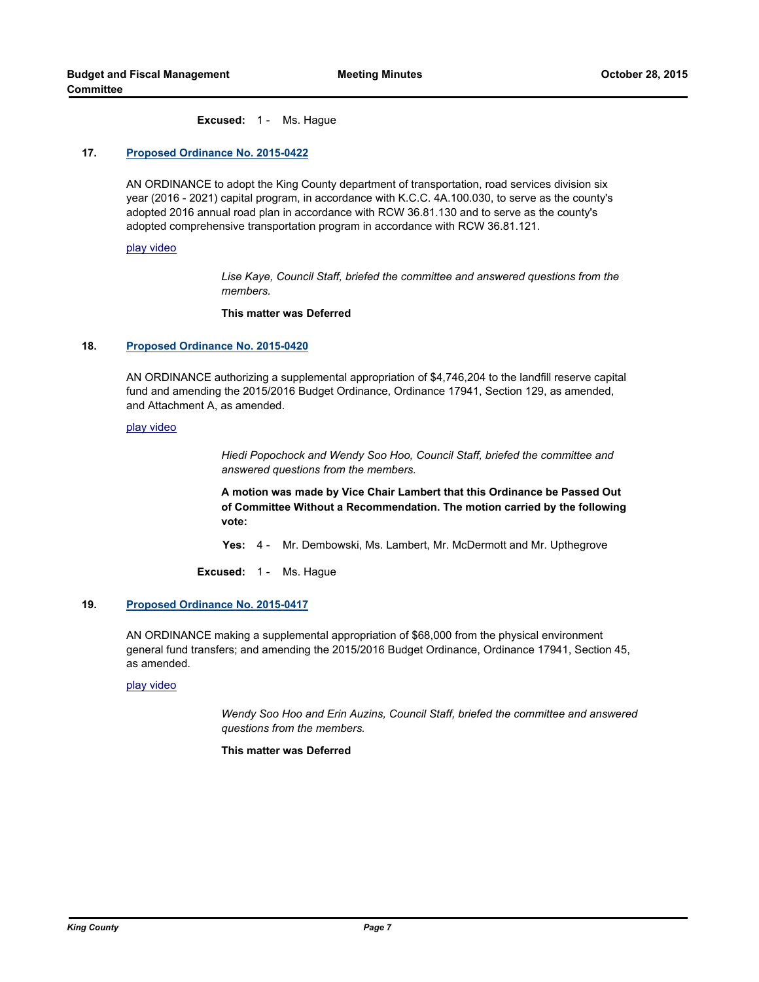**Excused:** 1 - Ms. Hague

## **17. [Proposed Ordinance No. 2015-0422](http://kingcounty.legistar.com/gateway.aspx?m=l&id=/matter.aspx?key=16494)**

AN ORDINANCE to adopt the King County department of transportation, road services division six year (2016 - 2021) capital program, in accordance with K.C.C. 4A.100.030, to serve as the county's adopted 2016 annual road plan in accordance with RCW 36.81.130 and to serve as the county's adopted comprehensive transportation program in accordance with RCW 36.81.121.

## [play video](http://mkcclegisearch.kingcounty.gov/medialinkgenerator/index.aspx?meid=5505&hsid=292286)

*Lise Kaye, Council Staff, briefed the committee and answered questions from the members.*

**This matter was Deferred**

## **18. [Proposed Ordinance No. 2015-0420](http://kingcounty.legistar.com/gateway.aspx?m=l&id=/matter.aspx?key=16492)**

AN ORDINANCE authorizing a supplemental appropriation of \$4,746,204 to the landfill reserve capital fund and amending the 2015/2016 Budget Ordinance, Ordinance 17941, Section 129, as amended, and Attachment A, as amended.

## [play video](http://mkcclegisearch.kingcounty.gov/medialinkgenerator/index.aspx?meid=5505&hsid=292287)

*Hiedi Popochock and Wendy Soo Hoo, Council Staff, briefed the committee and answered questions from the members.*

**A motion was made by Vice Chair Lambert that this Ordinance be Passed Out of Committee Without a Recommendation. The motion carried by the following vote:**

**Yes:** 4 - Mr. Dembowski, Ms. Lambert, Mr. McDermott and Mr. Upthegrove

**Excused: 1 - Ms. Hague** 

## **19. [Proposed Ordinance No. 2015-0417](http://kingcounty.legistar.com/gateway.aspx?m=l&id=/matter.aspx?key=16489)**

AN ORDINANCE making a supplemental appropriation of \$68,000 from the physical environment general fund transfers; and amending the 2015/2016 Budget Ordinance, Ordinance 17941, Section 45, as amended.

[play video](http://mkcclegisearch.kingcounty.gov/medialinkgenerator/index.aspx?meid=5505&hsid=292288)

*Wendy Soo Hoo and Erin Auzins, Council Staff, briefed the committee and answered questions from the members.*

**This matter was Deferred**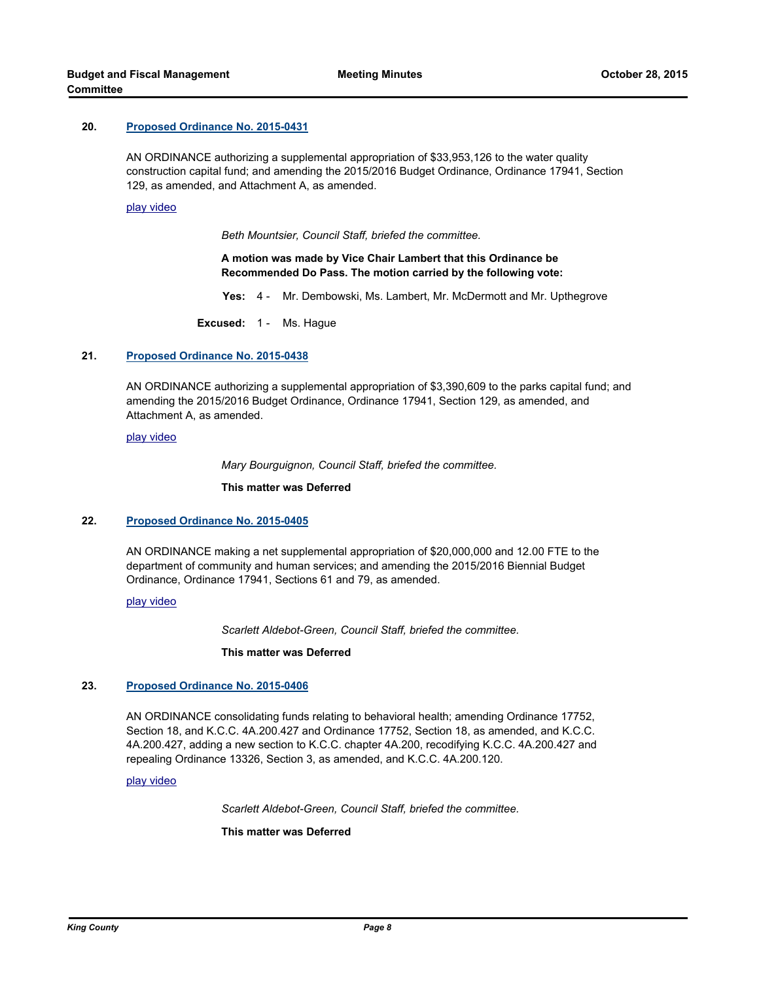AN ORDINANCE authorizing a supplemental appropriation of \$33,953,126 to the water quality construction capital fund; and amending the 2015/2016 Budget Ordinance, Ordinance 17941, Section 129, as amended, and Attachment A, as amended.

#### [play video](http://mkcclegisearch.kingcounty.gov/medialinkgenerator/index.aspx?meid=5505&hsid=292289)

*Beth Mountsier, Council Staff, briefed the committee.*

**A motion was made by Vice Chair Lambert that this Ordinance be Recommended Do Pass. The motion carried by the following vote:**

**Yes:** 4 - Mr. Dembowski, Ms. Lambert, Mr. McDermott and Mr. Upthegrove

**Excused:** 1 - Ms. Hague

## **21. [Proposed Ordinance No. 2015-0438](http://kingcounty.legistar.com/gateway.aspx?m=l&id=/matter.aspx?key=16513)**

AN ORDINANCE authorizing a supplemental appropriation of \$3,390,609 to the parks capital fund; and amending the 2015/2016 Budget Ordinance, Ordinance 17941, Section 129, as amended, and Attachment A, as amended.

## [play video](http://mkcclegisearch.kingcounty.gov/medialinkgenerator/index.aspx?meid=5505&hsid=292316)

*Mary Bourguignon, Council Staff, briefed the committee.*

**This matter was Deferred**

## **22. [Proposed Ordinance No. 2015-0405](http://kingcounty.legistar.com/gateway.aspx?m=l&id=/matter.aspx?key=16477)**

AN ORDINANCE making a net supplemental appropriation of \$20,000,000 and 12.00 FTE to the department of community and human services; and amending the 2015/2016 Biennial Budget Ordinance, Ordinance 17941, Sections 61 and 79, as amended.

## [play video](http://mkcclegisearch.kingcounty.gov/medialinkgenerator/index.aspx?meid=5505&hsid=292317)

*Scarlett Aldebot-Green, Council Staff, briefed the committee.*

**This matter was Deferred**

## **23. [Proposed Ordinance No. 2015-0406](http://kingcounty.legistar.com/gateway.aspx?m=l&id=/matter.aspx?key=16478)**

AN ORDINANCE consolidating funds relating to behavioral health; amending Ordinance 17752, Section 18, and K.C.C. 4A.200.427 and Ordinance 17752, Section 18, as amended, and K.C.C. 4A.200.427, adding a new section to K.C.C. chapter 4A.200, recodifying K.C.C. 4A.200.427 and repealing Ordinance 13326, Section 3, as amended, and K.C.C. 4A.200.120.

[play video](http://mkcclegisearch.kingcounty.gov/medialinkgenerator/index.aspx?meid=5505&hsid=292318)

*Scarlett Aldebot-Green, Council Staff, briefed the committee.*

## **This matter was Deferred**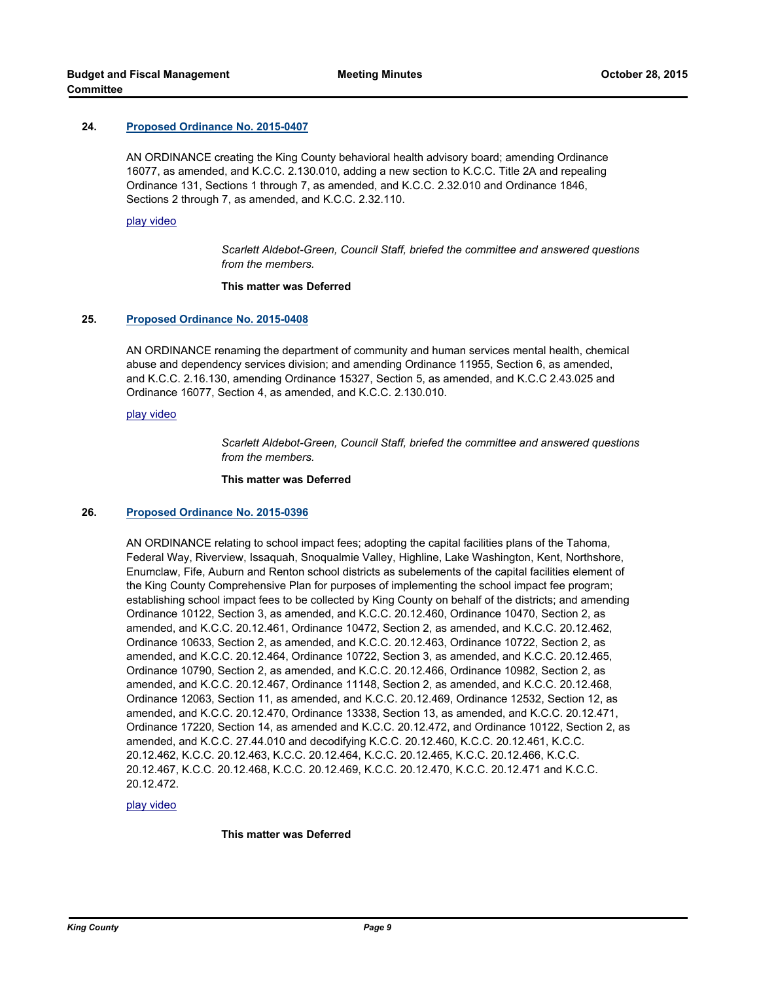AN ORDINANCE creating the King County behavioral health advisory board; amending Ordinance 16077, as amended, and K.C.C. 2.130.010, adding a new section to K.C.C. Title 2A and repealing Ordinance 131, Sections 1 through 7, as amended, and K.C.C. 2.32.010 and Ordinance 1846, Sections 2 through 7, as amended, and K.C.C. 2.32.110.

#### [play video](http://mkcclegisearch.kingcounty.gov/medialinkgenerator/index.aspx?meid=5505&hsid=292319)

*Scarlett Aldebot-Green, Council Staff, briefed the committee and answered questions from the members.*

## **This matter was Deferred**

## **25. [Proposed Ordinance No. 2015-0408](http://kingcounty.legistar.com/gateway.aspx?m=l&id=/matter.aspx?key=16480)**

AN ORDINANCE renaming the department of community and human services mental health, chemical abuse and dependency services division; and amending Ordinance 11955, Section 6, as amended, and K.C.C. 2.16.130, amending Ordinance 15327, Section 5, as amended, and K.C.C 2.43.025 and Ordinance 16077, Section 4, as amended, and K.C.C. 2.130.010.

#### [play video](http://mkcclegisearch.kingcounty.gov/medialinkgenerator/index.aspx?meid=5505&hsid=292320)

*Scarlett Aldebot-Green, Council Staff, briefed the committee and answered questions from the members.*

#### **This matter was Deferred**

## **26. [Proposed Ordinance No. 2015-0396](http://kingcounty.legistar.com/gateway.aspx?m=l&id=/matter.aspx?key=16452)**

AN ORDINANCE relating to school impact fees; adopting the capital facilities plans of the Tahoma, Federal Way, Riverview, Issaquah, Snoqualmie Valley, Highline, Lake Washington, Kent, Northshore, Enumclaw, Fife, Auburn and Renton school districts as subelements of the capital facilities element of the King County Comprehensive Plan for purposes of implementing the school impact fee program; establishing school impact fees to be collected by King County on behalf of the districts; and amending Ordinance 10122, Section 3, as amended, and K.C.C. 20.12.460, Ordinance 10470, Section 2, as amended, and K.C.C. 20.12.461, Ordinance 10472, Section 2, as amended, and K.C.C. 20.12.462, Ordinance 10633, Section 2, as amended, and K.C.C. 20.12.463, Ordinance 10722, Section 2, as amended, and K.C.C. 20.12.464, Ordinance 10722, Section 3, as amended, and K.C.C. 20.12.465, Ordinance 10790, Section 2, as amended, and K.C.C. 20.12.466, Ordinance 10982, Section 2, as amended, and K.C.C. 20.12.467, Ordinance 11148, Section 2, as amended, and K.C.C. 20.12.468, Ordinance 12063, Section 11, as amended, and K.C.C. 20.12.469, Ordinance 12532, Section 12, as amended, and K.C.C. 20.12.470, Ordinance 13338, Section 13, as amended, and K.C.C. 20.12.471, Ordinance 17220, Section 14, as amended and K.C.C. 20.12.472, and Ordinance 10122, Section 2, as amended, and K.C.C. 27.44.010 and decodifying K.C.C. 20.12.460, K.C.C. 20.12.461, K.C.C. 20.12.462, K.C.C. 20.12.463, K.C.C. 20.12.464, K.C.C. 20.12.465, K.C.C. 20.12.466, K.C.C. 20.12.467, K.C.C. 20.12.468, K.C.C. 20.12.469, K.C.C. 20.12.470, K.C.C. 20.12.471 and K.C.C. 20.12.472.

## [play video](http://mkcclegisearch.kingcounty.gov/medialinkgenerator/index.aspx?meid=5505&hsid=292321)

## **This matter was Deferred**